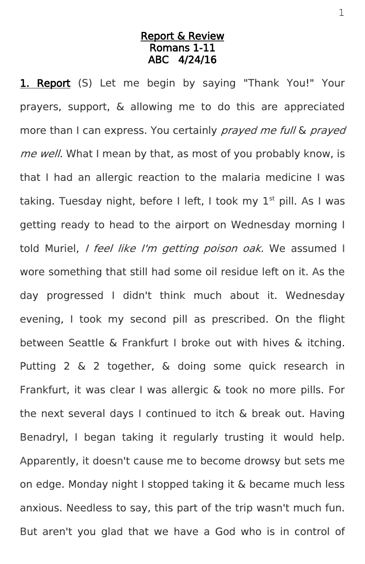## Report & Review Romans 1-11 ABC 4/24/16

1. Report (S) Let me begin by saying "Thank You!" Your prayers, support, & allowing me to do this are appreciated more than I can express. You certainly prayed me full & prayed me well. What I mean by that, as most of you probably know, is that I had an allergic reaction to the malaria medicine I was taking. Tuesday night, before I left, I took my  $1<sup>st</sup>$  pill. As I was getting ready to head to the airport on Wednesday morning I told Muriel, *I feel like I'm getting poison oak*. We assumed I wore something that still had some oil residue left on it. As the day progressed I didn't think much about it. Wednesday evening, I took my second pill as prescribed. On the flight between Seattle & Frankfurt I broke out with hives & itching. Putting 2 & 2 together, & doing some quick research in Frankfurt, it was clear I was allergic & took no more pills. For the next several days I continued to itch & break out. Having Benadryl, I began taking it regularly trusting it would help. Apparently, it doesn't cause me to become drowsy but sets me on edge. Monday night I stopped taking it & became much less anxious. Needless to say, this part of the trip wasn't much fun. But aren't you glad that we have a God who is in control of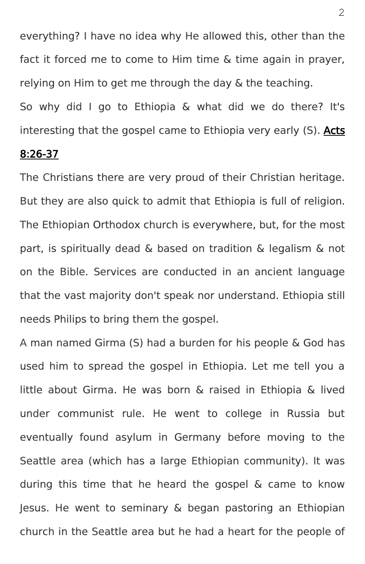everything? I have no idea why He allowed this, other than the fact it forced me to come to Him time & time again in prayer, relying on Him to get me through the day & the teaching.

So why did I go to Ethiopia & what did we do there? It's interesting that the gospel came to Ethiopia very early (S). Acts

## 8:26-37

The Christians there are very proud of their Christian heritage. But they are also quick to admit that Ethiopia is full of religion. The Ethiopian Orthodox church is everywhere, but, for the most part, is spiritually dead & based on tradition & legalism & not on the Bible. Services are conducted in an ancient language that the vast majority don't speak nor understand. Ethiopia still needs Philips to bring them the gospel.

A man named Girma (S) had a burden for his people & God has used him to spread the gospel in Ethiopia. Let me tell you a little about Girma. He was born & raised in Ethiopia & lived under communist rule. He went to college in Russia but eventually found asylum in Germany before moving to the Seattle area (which has a large Ethiopian community). It was during this time that he heard the gospel & came to know Jesus. He went to seminary & began pastoring an Ethiopian church in the Seattle area but he had a heart for the people of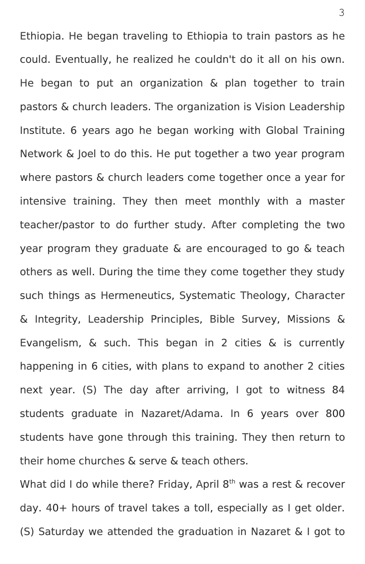Ethiopia. He began traveling to Ethiopia to train pastors as he could. Eventually, he realized he couldn't do it all on his own. He began to put an organization & plan together to train pastors & church leaders. The organization is Vision Leadership Institute. 6 years ago he began working with Global Training Network & Joel to do this. He put together a two year program where pastors & church leaders come together once a year for intensive training. They then meet monthly with a master teacher/pastor to do further study. After completing the two year program they graduate & are encouraged to go & teach others as well. During the time they come together they study such things as Hermeneutics, Systematic Theology, Character & Integrity, Leadership Principles, Bible Survey, Missions & Evangelism, & such. This began in 2 cities & is currently happening in 6 cities, with plans to expand to another 2 cities next year. (S) The day after arriving, I got to witness 84 students graduate in Nazaret/Adama. In 6 years over 800 students have gone through this training. They then return to their home churches & serve & teach others.

What did I do while there? Friday, April  $8<sup>th</sup>$  was a rest & recover day. 40+ hours of travel takes a toll, especially as I get older. (S) Saturday we attended the graduation in Nazaret & I got to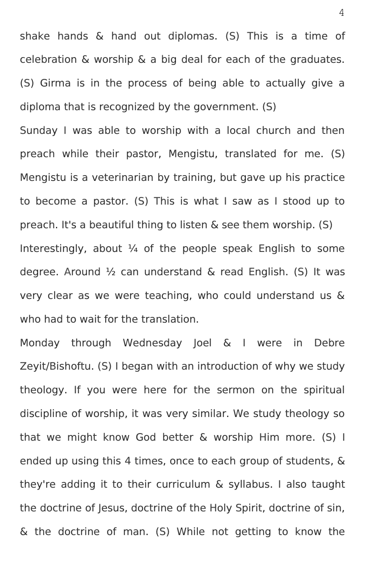shake hands & hand out diplomas. (S) This is a time of celebration & worship & a big deal for each of the graduates. (S) Girma is in the process of being able to actually give a diploma that is recognized by the government. (S)

Sunday I was able to worship with a local church and then preach while their pastor, Mengistu, translated for me. (S) Mengistu is a veterinarian by training, but gave up his practice to become a pastor. (S) This is what I saw as I stood up to preach. It's a beautiful thing to listen & see them worship. (S) Interestingly, about  $\frac{1}{4}$  of the people speak English to some degree. Around ½ can understand & read English. (S) It was very clear as we were teaching, who could understand us & who had to wait for the translation.

Monday through Wednesday Joel & I were in Debre Zeyit/Bishoftu. (S) I began with an introduction of why we study theology. If you were here for the sermon on the spiritual discipline of worship, it was very similar. We study theology so that we might know God better & worship Him more. (S) I ended up using this 4 times, once to each group of students, & they're adding it to their curriculum & syllabus. I also taught the doctrine of Jesus, doctrine of the Holy Spirit, doctrine of sin, & the doctrine of man. (S) While not getting to know the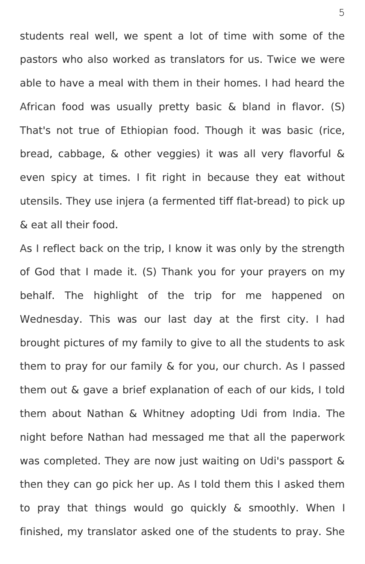students real well, we spent a lot of time with some of the pastors who also worked as translators for us. Twice we were able to have a meal with them in their homes. I had heard the African food was usually pretty basic & bland in flavor. (S) That's not true of Ethiopian food. Though it was basic (rice, bread, cabbage, & other veggies) it was all very flavorful & even spicy at times. I fit right in because they eat without utensils. They use injera (a fermented tiff flat-bread) to pick up & eat all their food.

As I reflect back on the trip, I know it was only by the strength of God that I made it. (S) Thank you for your prayers on my behalf. The highlight of the trip for me happened on Wednesday. This was our last day at the first city. I had brought pictures of my family to give to all the students to ask them to pray for our family & for you, our church. As I passed them out & gave a brief explanation of each of our kids, I told them about Nathan & Whitney adopting Udi from India. The night before Nathan had messaged me that all the paperwork was completed. They are now just waiting on Udi's passport & then they can go pick her up. As I told them this I asked them to pray that things would go quickly & smoothly. When I finished, my translator asked one of the students to pray. She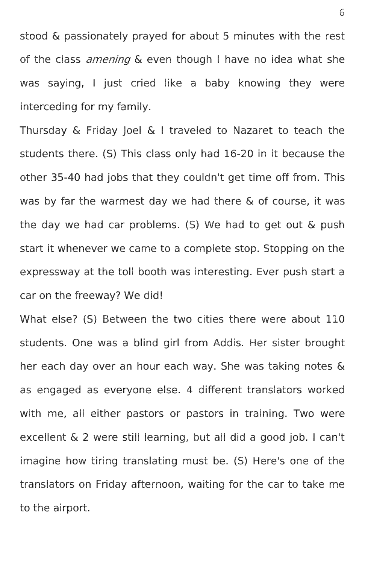stood & passionately prayed for about 5 minutes with the rest of the class *amening* & even though I have no idea what she was saying, I just cried like a baby knowing they were interceding for my family.

Thursday & Friday Joel & I traveled to Nazaret to teach the students there. (S) This class only had 16-20 in it because the other 35-40 had jobs that they couldn't get time off from. This was by far the warmest day we had there & of course, it was the day we had car problems. (S) We had to get out & push start it whenever we came to a complete stop. Stopping on the expressway at the toll booth was interesting. Ever push start a car on the freeway? We did!

What else? (S) Between the two cities there were about 110 students. One was a blind girl from Addis. Her sister brought her each day over an hour each way. She was taking notes & as engaged as everyone else. 4 different translators worked with me, all either pastors or pastors in training. Two were excellent & 2 were still learning, but all did a good job. I can't imagine how tiring translating must be. (S) Here's one of the translators on Friday afternoon, waiting for the car to take me to the airport.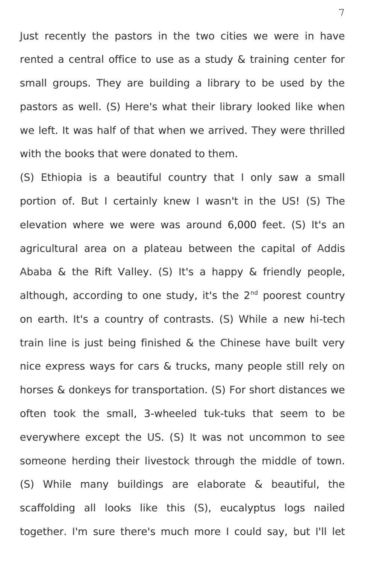Just recently the pastors in the two cities we were in have rented a central office to use as a study & training center for small groups. They are building a library to be used by the pastors as well. (S) Here's what their library looked like when we left. It was half of that when we arrived. They were thrilled with the books that were donated to them.

(S) Ethiopia is a beautiful country that I only saw a small portion of. But I certainly knew I wasn't in the US! (S) The elevation where we were was around 6,000 feet. (S) It's an agricultural area on a plateau between the capital of Addis Ababa & the Rift Valley. (S) It's a happy & friendly people, although, according to one study, it's the 2<sup>nd</sup> poorest country on earth. It's a country of contrasts. (S) While a new hi-tech train line is just being finished & the Chinese have built very nice express ways for cars & trucks, many people still rely on horses & donkeys for transportation. (S) For short distances we often took the small, 3-wheeled tuk-tuks that seem to be everywhere except the US. (S) It was not uncommon to see someone herding their livestock through the middle of town. (S) While many buildings are elaborate & beautiful, the scaffolding all looks like this (S), eucalyptus logs nailed together. I'm sure there's much more I could say, but I'll let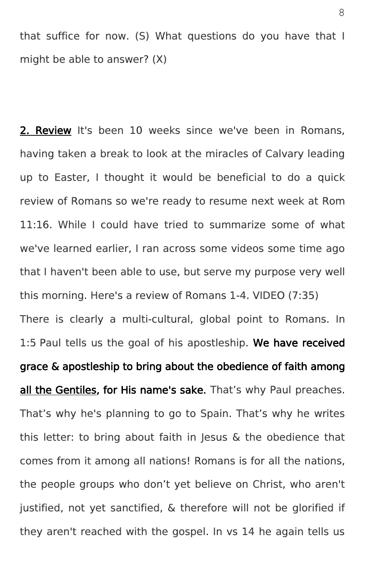that suffice for now. (S) What questions do you have that I might be able to answer? (X)

2. Review It's been 10 weeks since we've been in Romans, having taken a break to look at the miracles of Calvary leading up to Easter, I thought it would be beneficial to do a quick review of Romans so we're ready to resume next week at Rom 11:16. While I could have tried to summarize some of what we've learned earlier, I ran across some videos some time ago that I haven't been able to use, but serve my purpose very well this morning. Here's a review of Romans 1-4. VIDEO (7:35) There is clearly a multi-cultural, global point to Romans. In 1:5 Paul tells us the goal of his apostleship. We have received grace & apostleship to bring about the obedience of faith among all the Gentiles, for His name's sake. That's why Paul preaches. That's why he's planning to go to Spain. That's why he writes this letter: to bring about faith in Jesus & the obedience that comes from it among all nations! Romans is for all the nations, the people groups who don't yet believe on Christ, who aren't justified, not yet sanctified, & therefore will not be glorified if they aren't reached with the gospel. In vs 14 he again tells us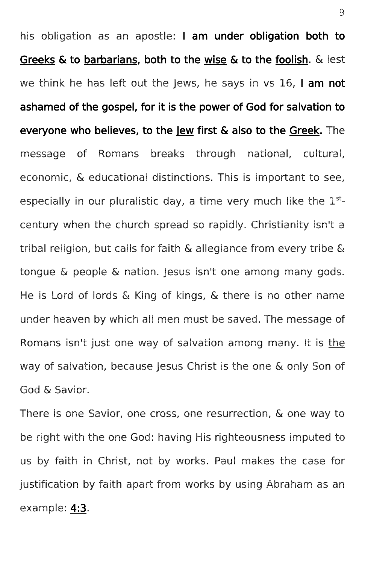his obligation as an apostle: I am under obligation both to Greeks & to barbarians, both to the wise & to the foolish.  $\&$  lest we think he has left out the Jews, he says in vs 16, I am not ashamed of the gospel, for it is the power of God for salvation to everyone who believes, to the Jew first & also to the Greek. The message of Romans breaks through national, cultural, economic, & educational distinctions. This is important to see, especially in our pluralistic day, a time very much like the  $1<sup>st</sup>$ century when the church spread so rapidly. Christianity isn't a tribal religion, but calls for faith & allegiance from every tribe & tongue & people & nation. Jesus isn't one among many gods. He is Lord of lords & King of kings, & there is no other name under heaven by which all men must be saved. The message of Romans isn't just one way of salvation among many. It is the way of salvation, because Jesus Christ is the one & only Son of God & Savior.

There is one Savior, one cross, one resurrection, & one way to be right with the one God: having His righteousness imputed to us by faith in Christ, not by works. Paul makes the case for justification by faith apart from works by using Abraham as an example: 4:3.